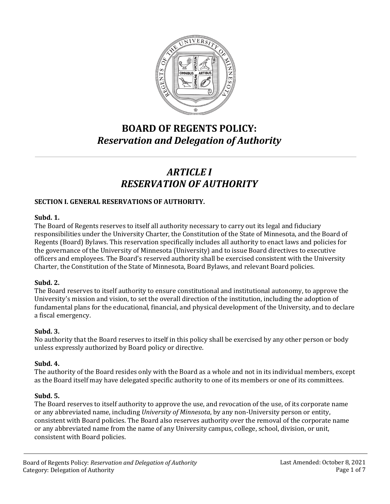

# **BOARD OF REGENTS POLICY:** *Reservation and Delegation of Authority*

# *ARTICLE I RESERVATION OF AUTHORITY*

## **SECTION I. GENERAL RESERVATIONS OF AUTHORITY.**

#### **Subd. 1.**

The Board of Regents reserves to itself all authority necessary to carry out its legal and fiduciary responsibilities under the University Charter, the Constitution of the State of Minnesota, and the Board of Regents (Board) Bylaws. This reservation specifically includes all authority to enact laws and policies for the governance of the University of Minnesota (University) and to issue Board directives to executive officers and employees. The Board's reserved authority shall be exercised consistent with the University Charter, the Constitution of the State of Minnesota, Board Bylaws, and relevant Board policies.

## **Subd. 2.**

The Board reserves to itself authority to ensure constitutional and institutional autonomy, to approve the University's mission and vision, to set the overall direction of the institution, including the adoption of fundamental plans for the educational, financial, and physical development of the University, and to declare a fiscal emergency.

## **Subd. 3.**

No authority that the Board reserves to itself in this policy shall be exercised by any other person or body unless expressly authorized by Board policy or directive.

## **Subd. 4.**

The authority of the Board resides only with the Board as a whole and not in its individual members, except as the Board itself may have delegated specific authority to one of its members or one of its committees.

## **Subd. 5.**

The Board reserves to itself authority to approve the use, and revocation of the use, of its corporate name or any abbreviated name, including *University of Minnesota*, by any non-University person or entity, consistent with Board policies. The Board also reserves authority over the removal of the corporate name or any abbreviated name from the name of any University campus, college, school, division, or unit, consistent with Board policies.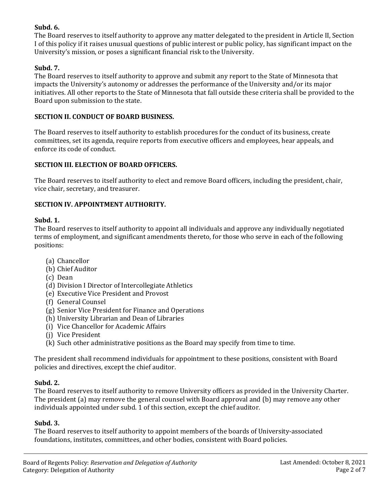## **Subd. 6.**

The Board reserves to itself authority to approve any matter delegated to the president in Article II, Section I of this policy if it raises unusual questions of public interest or public policy, has significant impact on the University's mission, or poses a significant financial risk to the University.

## **Subd. 7.**

The Board reserves to itself authority to approve and submit any report to the State of Minnesota that impacts the University's autonomy or addresses the performance of the University and/or its major initiatives. All other reports to the State of Minnesota that fall outside these criteria shall be provided to the Board upon submission to the state.

#### **SECTION II. CONDUCT OF BOARD BUSINESS.**

The Board reserves to itself authority to establish procedures for the conduct of its business, create committees, set its agenda, require reports from executive officers and employees, hear appeals, and enforce its code of conduct.

## **SECTION III. ELECTION OF BOARD OFFICERS.**

The Board reserves to itself authority to elect and remove Board officers, including the president, chair, vice chair, secretary, and treasurer.

## **SECTION IV. APPOINTMENT AUTHORITY.**

#### **Subd. 1.**

The Board reserves to itself authority to appoint all individuals and approve any individually negotiated terms of employment, and significant amendments thereto, for those who serve in each of the following positions:

- (a) Chancellor
- (b) Chief Auditor
- (c) Dean
- (d) Division I Director of Intercollegiate Athletics
- (e) Executive Vice President and Provost
- (f) General Counsel
- (g) Senior Vice President for Finance and Operations
- (h) University Librarian and Dean of Libraries
- (i) Vice Chancellor for Academic Affairs
- (j) Vice President
- (k) Such other administrative positions as the Board may specify from time to time.

The president shall recommend individuals for appointment to these positions, consistent with Board policies and directives, except the chief auditor.

#### **Subd. 2.**

The Board reserves to itself authority to remove University officers as provided in the University Charter. The president (a) may remove the general counsel with Board approval and (b) may remove any other individuals appointed under subd. 1 of this section, except the chief auditor.

### **Subd. 3.**

The Board reserves to itself authority to appoint members of the boards of University-associated foundations, institutes, committees, and other bodies, consistent with Board policies.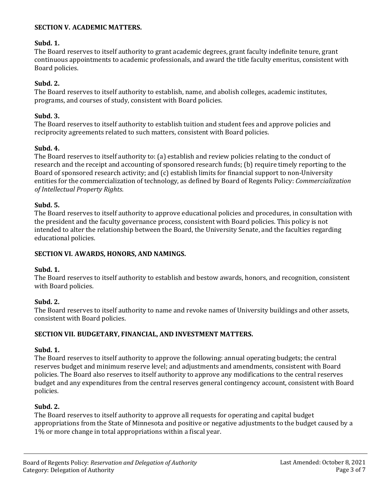#### **SECTION V. ACADEMIC MATTERS.**

#### **Subd. 1.**

The Board reserves to itself authority to grant academic degrees, grant faculty indefinite tenure, grant continuous appointments to academic professionals, and award the title faculty emeritus, consistent with Board policies.

## **Subd. 2.**

The Board reserves to itself authority to establish, name, and abolish colleges, academic institutes, programs, and courses of study, consistent with Board policies.

### **Subd. 3.**

The Board reserves to itself authority to establish tuition and student fees and approve policies and reciprocity agreements related to such matters, consistent with Board policies.

## **Subd. 4.**

The Board reserves to itself authority to: (a) establish and review policies relating to the conduct of research and the receipt and accounting of sponsored research funds; (b) require timely reporting to the Board of sponsored research activity; and  $(c)$  establish limits for financial support to non-University entities for the commercialization of technology, as defined by Board of Regents Policy: *Commercialization of Intellectual Property Rights*.

## **Subd. 5.**

The Board reserves to itself authority to approve educational policies and procedures, in consultation with the president and the faculty governance process, consistent with Board policies. This policy is not intended to alter the relationship between the Board, the University Senate, and the faculties regarding educational policies.

#### **SECTION VI. AWARDS, HONORS, AND NAMINGS.**

#### **Subd. 1.**

The Board reserves to itself authority to establish and bestow awards, honors, and recognition, consistent with Board policies.

## **Subd. 2.**

The Board reserves to itself authority to name and revoke names of University buildings and other assets, consistent with Board policies.

#### **SECTION VII. BUDGETARY, FINANCIAL, AND INVESTMENT MATTERS.**

## **Subd. 1.**

The Board reserves to itself authority to approve the following: annual operating budgets; the central reserves budget and minimum reserve level; and adjustments and amendments, consistent with Board policies. The Board also reserves to itself authority to approve any modifications to the central reserves budget and any expenditures from the central reserves general contingency account, consistent with Board policies.

## **Subd. 2.**

The Board reserves to itself authority to approve all requests for operating and capital budget appropriations from the State of Minnesota and positive or negative adjustments to the budget caused by a 1% or more change in total appropriations within a fiscal year.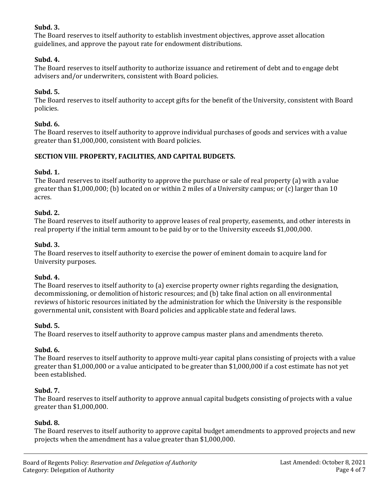## **Subd. 3.**

The Board reserves to itself authority to establish investment objectives, approve asset allocation guidelines, and approve the payout rate for endowment distributions.

## **Subd. 4.**

The Board reserves to itself authority to authorize issuance and retirement of debt and to engage debt advisers and/or underwriters, consistent with Board policies.

## **Subd. 5.**

The Board reserves to itself authority to accept gifts for the benefit of the University, consistent with Board policies.

## **Subd. 6.**

The Board reserves to itself authority to approve individual purchases of goods and services with a value greater than \$1,000,000, consistent with Board policies.

## **SECTION VIII. PROPERTY, FACILITIES, AND CAPITAL BUDGETS.**

## **Subd. 1.**

The Board reserves to itself authority to approve the purchase or sale of real property  $(a)$  with a value greater than \$1,000,000; (b) located on or within 2 miles of a University campus; or  $(c)$  larger than 10 acres.

## **Subd. 2.**

The Board reserves to itself authority to approve leases of real property, easements, and other interests in real property if the initial term amount to be paid by or to the University exceeds \$1,000,000.

## **Subd. 3.**

The Board reserves to itself authority to exercise the power of eminent domain to acquire land for University purposes.

#### **Subd. 4.**

The Board reserves to itself authority to (a) exercise property owner rights regarding the designation, decommissioning, or demolition of historic resources; and (b) take final action on all environmental reviews of historic resources initiated by the administration for which the University is the responsible governmental unit, consistent with Board policies and applicable state and federal laws.

#### **Subd. 5.**

The Board reserves to itself authority to approve campus master plans and amendments thereto.

## **Subd. 6.**

The Board reserves to itself authority to approve multi-year capital plans consisting of projects with a value greater than \$1,000,000 or a value anticipated to be greater than \$1,000,000 if a cost estimate has not yet been established.

## **Subd. 7.**

The Board reserves to itself authority to approve annual capital budgets consisting of projects with a value greater than \$1,000,000.

#### **Subd. 8.**

The Board reserves to itself authority to approve capital budget amendments to approved projects and new projects when the amendment has a value greater than \$1,000,000.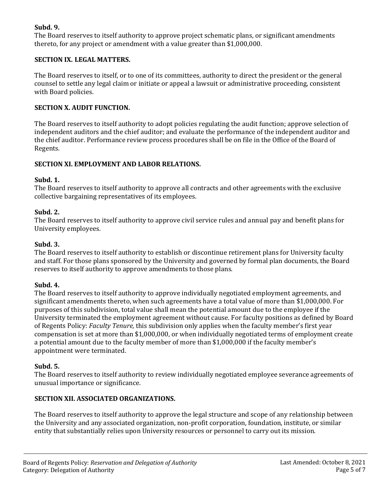## **Subd. 9.**

The Board reserves to itself authority to approve project schematic plans, or significant amendments thereto, for any project or amendment with a value greater than \$1,000,000.

## **SECTION IX. LEGAL MATTERS.**

The Board reserves to itself, or to one of its committees, authority to direct the president or the general counsel to settle any legal claim or initiate or appeal a lawsuit or administrative proceeding, consistent with Board policies.

### **SECTION X. AUDIT FUNCTION.**

The Board reserves to itself authority to adopt policies regulating the audit function; approve selection of independent auditors and the chief auditor; and evaluate the performance of the independent auditor and the chief auditor. Performance review process procedures shall be on file in the Office of the Board of Regents.

## **SECTION XI. EMPLOYMENT AND LABOR RELATIONS.**

## **Subd. 1.**

The Board reserves to itself authority to approve all contracts and other agreements with the exclusive collective bargaining representatives of its employees.

## **Subd. 2.**

The Board reserves to itself authority to approve civil service rules and annual pay and benefit plans for University employees.

## **Subd. 3.**

The Board reserves to itself authority to establish or discontinue retirement plans for University faculty and staff. For those plans sponsored by the University and governed by formal plan documents, the Board reserves to itself authority to approve amendments to those plans.

## **Subd. 4.**

The Board reserves to itself authority to approve individually negotiated employment agreements, and significant amendments thereto, when such agreements have a total value of more than \$1,000,000. For purposes of this subdivision, total value shall mean the potential amount due to the employee if the University terminated the employment agreement without cause. For faculty positions as defined by Board of Regents Policy: *Faculty Tenure,* this subdivision only applies when the faculty member's first year compensation is set at more than \$1,000,000, or when individually negotiated terms of employment create a potential amount due to the faculty member of more than \$1,000,000 if the faculty member's appointment were terminated.

## **Subd. 5.**

The Board reserves to itself authority to review individually negotiated employee severance agreements of unusual importance or significance.

## **SECTION XII. ASSOCIATED ORGANIZATIONS.**

The Board reserves to itself authority to approve the legal structure and scope of any relationship between the University and any associated organization, non-profit corporation, foundation, institute, or similar entity that substantially relies upon University resources or personnel to carry out its mission.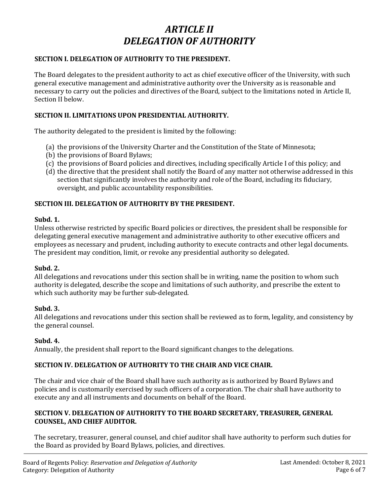## *ARTICLE II DELEGATION OF AUTHORITY*

### **SECTION I. DELEGATION OF AUTHORITY TO THE PRESIDENT.**

The Board delegates to the president authority to act as chief executive officer of the University, with such general executive management and administrative authority over the University as is reasonable and necessary to carry out the policies and directives of the Board, subject to the limitations noted in Article II, Section II below.

### **SECTION II. LIMITATIONS UPON PRESIDENTIAL AUTHORITY.**

The authority delegated to the president is limited by the following:

- (a) the provisions of the University Charter and the Constitution of the State of Minnesota;
- (b) the provisions of Board Bylaws;
- (c) the provisions of Board policies and directives, including specifically Article I of this policy; and
- (d) the directive that the president shall notify the Board of any matter not otherwise addressed in this section that significantly involves the authority and role of the Board, including its fiduciary, oversight, and public accountability responsibilities.

#### **SECTION III. DELEGATION OF AUTHORITY BY THE PRESIDENT.**

#### **Subd. 1.**

Unless otherwise restricted by specific Board policies or directives, the president shall be responsible for delegating general executive management and administrative authority to other executive officers and employees as necessary and prudent, including authority to execute contracts and other legal documents. The president may condition, limit, or revoke any presidential authority so delegated.

#### **Subd. 2.**

All delegations and revocations under this section shall be in writing, name the position to whom such authority is delegated, describe the scope and limitations of such authority, and prescribe the extent to which such authority may be further sub-delegated.

#### **Subd. 3.**

All delegations and revocations under this section shall be reviewed as to form, legality, and consistency by the general counsel.

#### **Subd. 4.**

Annually, the president shall report to the Board significant changes to the delegations.

#### **SECTION IV. DELEGATION OF AUTHORITY TO THE CHAIR AND VICE CHAIR.**

The chair and vice chair of the Board shall have such authority as is authorized by Board Bylaws and policies and is customarily exercised by such officers of a corporation. The chair shall have authority to execute any and all instruments and documents on behalf of the Board.

## **SECTION V. DELEGATION OF AUTHORITY TO THE BOARD SECRETARY, TREASURER, GENERAL COUNSEL, AND CHIEF AUDITOR.**

The secretary, treasurer, general counsel, and chief auditor shall have authority to perform such duties for the Board as provided by Board Bylaws, policies, and directives.